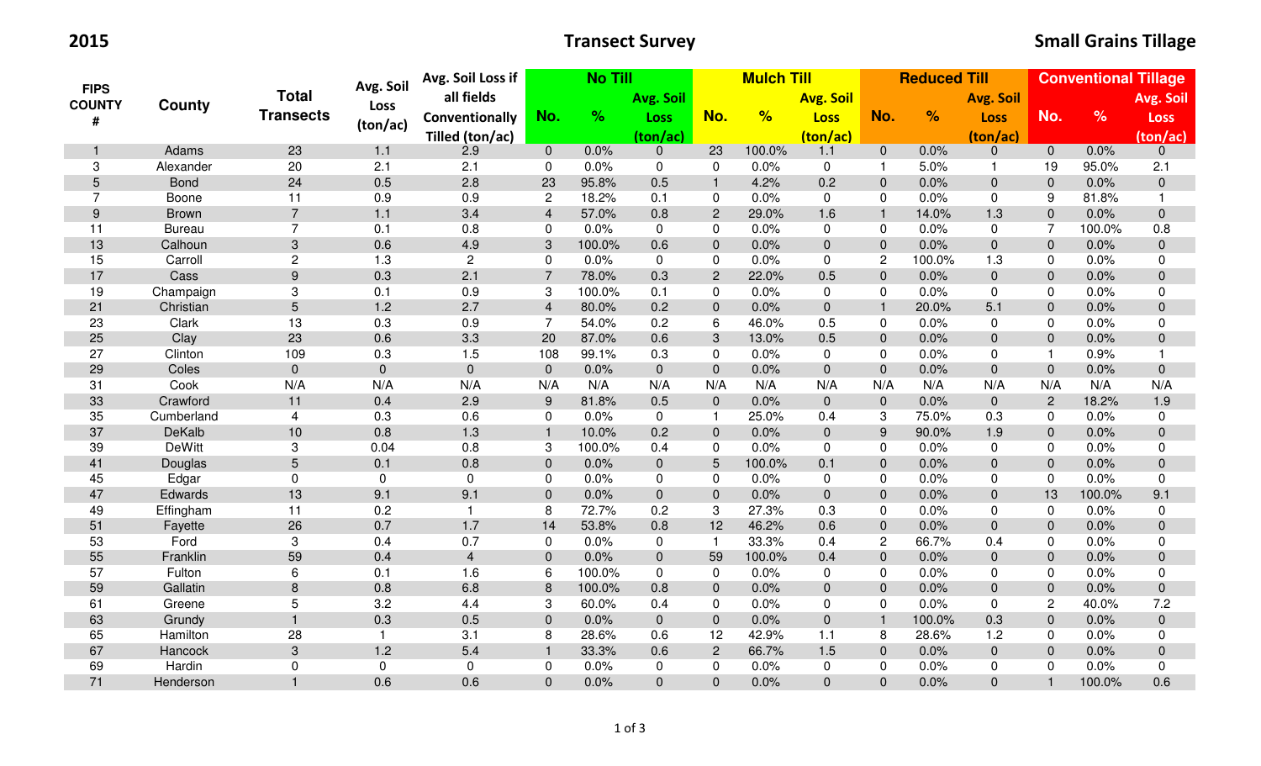2015

| <b>FIPS</b><br><b>COUNTY</b> |               | <b>Total</b>     | Avg. Soil      | <b>No Till</b><br>Avg. Soil Loss if |                |        | <b>Mulch Till</b> |                |                  | <b>Reduced Till</b> |                |               | <b>Conventional Tillage</b> |                |               |                  |
|------------------------------|---------------|------------------|----------------|-------------------------------------|----------------|--------|-------------------|----------------|------------------|---------------------|----------------|---------------|-----------------------------|----------------|---------------|------------------|
|                              |               |                  | <b>Loss</b>    | all fields                          |                |        | Avg. Soil         |                | <b>Avg. Soil</b> |                     |                |               | <b>Avg. Soil</b>            |                |               | Avg. Soil        |
| #                            | County        | <b>Transects</b> |                | Conventionally                      | No.            | $\%$   | <b>Loss</b>       | No.            | %                | <b>Loss</b>         | No.            | $\frac{9}{6}$ | <b>Loss</b>                 | No.            | $\frac{9}{6}$ | <b>Loss</b>      |
|                              |               |                  | (ton/ac)       | Tilled (ton/ac)                     |                |        | (ton/ac)          |                |                  | (ton/ac)            |                |               | (ton/ac)                    |                |               | (ton/ac)         |
| $\mathbf{1}$                 | Adams         | 23               | 1.1            | 2.9                                 | $\overline{0}$ | 0.0%   | $\mathbf{0}$      | 23             | 100.0%           | 1.1                 | $\overline{0}$ | 0.0%          | $\overline{0}$              | $\mathbf{0}$   | 0.0%          | $\mathbf 0$      |
| 3                            | Alexander     | 20               | 2.1            | 2.1                                 | $\mathbf 0$    | 0.0%   | $\mathbf 0$       | 0              | 0.0%             | 0                   | $\mathbf{1}$   | 5.0%          | -1                          | 19             | 95.0%         | 2.1              |
| 5                            | <b>Bond</b>   | 24               | 0.5            | 2.8                                 | 23             | 95.8%  | 0.5               | $\mathbf{1}$   | 4.2%             | 0.2                 | $\mathbf 0$    | 0.0%          | $\pmb{0}$                   | $\pmb{0}$      | 0.0%          | $\mathbf 0$      |
| $\overline{7}$               | Boone         | 11               | 0.9            | 0.9                                 | $\overline{2}$ | 18.2%  | 0.1               | 0              | 0.0%             | $\mathbf 0$         | 0              | 0.0%          | 0                           | 9              | 81.8%         | $\mathbf{1}$     |
| 9                            | <b>Brown</b>  | $\overline{7}$   | 1.1            | 3.4                                 | $\overline{4}$ | 57.0%  | 0.8               | 2              | 29.0%            | 1.6                 | $\mathbf{1}$   | 14.0%         | 1.3                         | $\Omega$       | 0.0%          | $\mathbf 0$      |
| 11                           | <b>Bureau</b> | $\overline{7}$   | 0.1            | 0.8                                 | $\mathbf{0}$   | 0.0%   | $\Omega$          | $\Omega$       | 0.0%             | 0                   | 0              | 0.0%          | $\Omega$                    | 7              | 100.0%        | 0.8              |
| 13                           | Calhoun       | $\mathbf{3}$     | 0.6            | 4.9                                 | $\sqrt{3}$     | 100.0% | 0.6               | $\mathbf 0$    | 0.0%             | $\mathbf 0$         | $\mathbf 0$    | 0.0%          | $\mathbf 0$                 | $\mathbf 0$    | 0.0%          | $\mathbf 0$      |
| 15                           | Carroll       | $\overline{2}$   | 1.3            | $\overline{2}$                      | 0              | 0.0%   | $\mathbf 0$       | $\mathbf 0$    | 0.0%             | $\mathbf 0$         | $\overline{2}$ | 100.0%        | 1.3                         | 0              | 0.0%          | $\mathbf 0$      |
| 17                           | Cass          | 9                | 0.3            | 2.1                                 | $\overline{7}$ | 78.0%  | 0.3               | 2              | 22.0%            | 0.5                 | $\overline{0}$ | 0.0%          | $\mathbf 0$                 | $\Omega$       | 0.0%          | $\overline{0}$   |
| 19                           | Champaign     | 3                | 0.1            | 0.9                                 | 3              | 100.0% | 0.1               | 0              | 0.0%             | 0                   | 0              | 0.0%          | $\mathbf 0$                 | $\Omega$       | 0.0%          | $\mathbf 0$      |
| 21                           | Christian     | 5                | 1.2            | 2.7                                 | $\overline{4}$ | 80.0%  | 0.2               | $\overline{0}$ | 0.0%             | $\pmb{0}$           | $\mathbf{1}$   | 20.0%         | 5.1                         | $\mathbf 0$    | 0.0%          | $\mathbf 0$      |
| 23                           | Clark         | 13               | 0.3            | 0.9                                 | $\overline{7}$ | 54.0%  | 0.2               | 6              | 46.0%            | 0.5                 | 0              | 0.0%          | $\mathbf 0$                 | $\Omega$       | 0.0%          | 0                |
| 25                           | Clay          | 23               | 0.6            | 3.3                                 | 20             | 87.0%  | 0.6               | 3              | 13.0%            | 0.5                 | $\mathbf 0$    | 0.0%          | $\mathbf 0$                 | $\mathbf{0}$   | 0.0%          | $\mathbf 0$      |
| 27                           | Clinton       | 109              | 0.3            | 1.5                                 | 108            | 99.1%  | 0.3               | 0              | 0.0%             | 0                   | $\mathbf 0$    | 0.0%          | $\mathbf 0$                 |                | 0.9%          |                  |
| 29                           | Coles         | $\pmb{0}$        | $\overline{0}$ | $\overline{0}$                      | $\mathbf{0}$   | 0.0%   | $\mathbf 0$       | $\mathbf{0}$   | 0.0%             | $\pmb{0}$           | $\mathbf 0$    | 0.0%          | $\mathbf 0$                 | $\mathbf 0$    | 0.0%          | $\overline{0}$   |
| 31                           | Cook          | N/A              | N/A            | N/A                                 | N/A            | N/A    | N/A               | N/A            | N/A              | N/A                 | N/A            | N/A           | N/A                         | N/A            | N/A           | N/A              |
| 33                           | Crawford      | 11               | 0.4            | 2.9                                 | $9\,$          | 81.8%  | 0.5               | $\mathbf 0$    | 0.0%             | $\pmb{0}$           | $\mathbf 0$    | 0.0%          | $\overline{0}$              | $\overline{2}$ | 18.2%         | 1.9              |
| 35                           | Cumberland    | 4                | 0.3            | 0.6                                 | 0              | 0.0%   | 0                 | $\mathbf{1}$   | 25.0%            | 0.4                 | 3              | 75.0%         | 0.3                         | $\mathbf{0}$   | 0.0%          | $\mathbf 0$      |
| 37                           | DeKalb        | 10               | 0.8            | 1.3                                 | $\mathbf{1}$   | 10.0%  | 0.2               | $\overline{0}$ | 0.0%             | $\mathbf 0$         | 9              | 90.0%         | 1.9                         | $\Omega$       | 0.0%          | $\boldsymbol{0}$ |
| 39                           | <b>DeWitt</b> | 3                | 0.04           | 0.8                                 | 3              | 100.0% | 0.4               | 0              | 0.0%             | 0                   | 0              | 0.0%          | $\mathbf 0$                 | 0              | 0.0%          | 0                |
| 41                           | Douglas       | 5                | 0.1            | 0.8                                 | $\mathbf 0$    | 0.0%   | $\mathbf 0$       | 5              | 100.0%           | 0.1                 | $\mathbf 0$    | 0.0%          | $\Omega$                    | $\Omega$       | 0.0%          | $\mathbf 0$      |
| 45                           | Edgar         | $\mathbf 0$      | $\mathbf 0$    | 0                                   | 0              | 0.0%   | 0                 | 0              | 0.0%             | $\mathbf 0$         | 0              | 0.0%          | $\Omega$                    | $\mathbf{0}$   | 0.0%          | 0                |
| 47                           | Edwards       | 13               | 9.1            | 9.1                                 | $\pmb{0}$      | 0.0%   | $\mathbf 0$       | $\mathbf 0$    | 0.0%             | $\mathbf 0$         | $\mathbf 0$    | 0.0%          | $\pmb{0}$                   | 13             | 100.0%        | 9.1              |
| 49                           | Effingham     | 11               | 0.2            | $\mathbf{1}$                        | 8              | 72.7%  | 0.2               | 3              | 27.3%            | 0.3                 | 0              | 0.0%          | $\mathbf 0$                 | $\mathbf 0$    | 0.0%          | $\mathbf 0$      |
| 51                           | Fayette       | 26               | 0.7            | 1.7                                 | 14             | 53.8%  | 0.8               | 12             | 46.2%            | 0.6                 | $\overline{0}$ | 0.0%          | $\overline{0}$              | $\Omega$       | 0.0%          | $\overline{0}$   |
| 53                           | Ford          | 3                | 0.4            | 0.7                                 | $\mathbf 0$    | 0.0%   | 0                 | $\mathbf{1}$   | 33.3%            | 0.4                 | $\overline{c}$ | 66.7%         | 0.4                         | $\Omega$       | 0.0%          | $\mathbf 0$      |
| 55                           | Franklin      | 59               | 0.4            | $\overline{\mathbf{4}}$             | $\mathbf{0}$   | 0.0%   | $\mathbf{0}$      | 59             | 100.0%           | 0.4                 | $\mathbf 0$    | 0.0%          | $\pmb{0}$                   | $\mathbf 0$    | 0.0%          | $\mathbf 0$      |
| 57                           | Fulton        | 6                | 0.1            | 1.6                                 | 6              | 100.0% | 0                 | 0              | 0.0%             | 0                   | 0              | 0.0%          | 0                           | 0              | 0.0%          | 0                |
| 59                           | Gallatin      | 8                | 0.8            | 6.8                                 | 8              | 100.0% | 0.8               | $\Omega$       | 0.0%             | $\overline{0}$      | $\overline{0}$ | 0.0%          | $\overline{0}$              | $\Omega$       | 0.0%          | $\overline{0}$   |
| 61                           | Greene        | 5                | 3.2            | 4.4                                 | 3              | 60.0%  | 0.4               | 0              | 0.0%             | $\mathbf 0$         | 0              | 0.0%          | 0                           | $\overline{c}$ | 40.0%         | 7.2              |
| 63                           | Grundy        | $\mathbf{1}$     | 0.3            | 0.5                                 | $\mathbf{0}$   | 0.0%   | $\mathbf 0$       | $\mathbf 0$    | 0.0%             | $\pmb{0}$           | $\mathbf{1}$   | 100.0%        | 0.3                         | $\mathbf 0$    | 0.0%          | $\mathbf 0$      |
| 65                           | Hamilton      | 28               | $\mathbf{1}$   | 3.1                                 | 8              | 28.6%  | 0.6               | 12             | 42.9%            | 1.1                 | 8              | 28.6%         | 1.2                         | 0              | 0.0%          | $\mathbf 0$      |
| 67                           | Hancock       | 3                | 1.2            | 5.4                                 | $\mathbf{1}$   | 33.3%  | 0.6               | $\overline{2}$ | 66.7%            | 1.5                 | $\overline{0}$ | 0.0%          | $\mathbf 0$                 | $\Omega$       | 0.0%          | $\mathbf 0$      |
| 69                           | Hardin        | $\Omega$         | $\mathbf 0$    | 0                                   | $\mathbf 0$    | 0.0%   | 0                 | $\mathbf{0}$   | 0.0%             | 0                   | 0              | 0.0%          | $\mathbf 0$                 | $\Omega$       | 0.0%          | 0                |
| 71                           | Henderson     | $\mathbf{1}$     | 0.6            | 0.6                                 | $\overline{0}$ | 0.0%   | $\overline{0}$    | $\overline{0}$ | 0.0%             | $\overline{0}$      | $\overline{0}$ | 0.0%          | $\overline{0}$              |                | 100.0%        | 0.6              |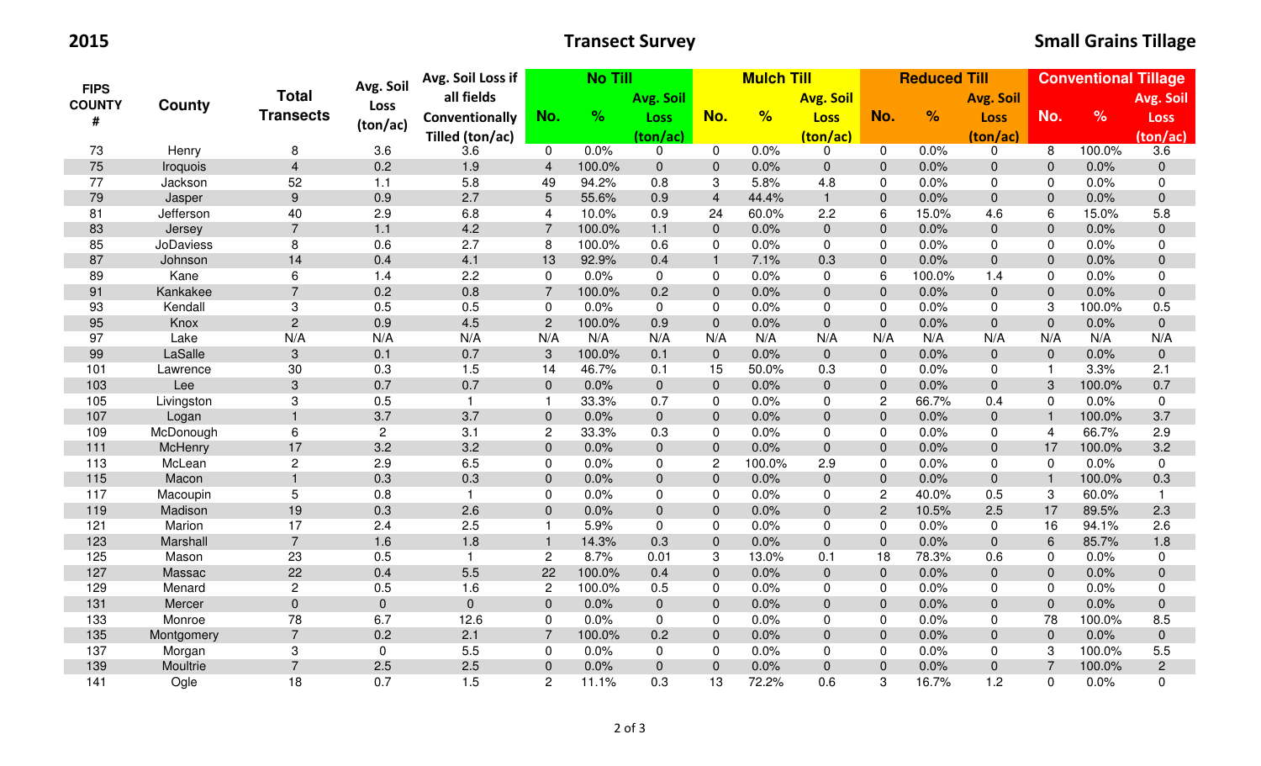2015

| <b>FIPS</b><br><b>COUNTY</b><br># | <b>County</b>    | <b>Total</b><br><b>Transects</b> | Avg. Soil      | Avg. Soil Loss if | <b>No Till</b> |        |                | <b>Mulch Till</b> |        |                  |                | <b>Reduced Till</b> |                  |                | <b>Conventional Tillage</b> |                |  |
|-----------------------------------|------------------|----------------------------------|----------------|-------------------|----------------|--------|----------------|-------------------|--------|------------------|----------------|---------------------|------------------|----------------|-----------------------------|----------------|--|
|                                   |                  |                                  | Loss           | all fields        |                |        | Avg. Soil      |                   |        | <b>Avg. Soil</b> |                |                     | <b>Avg. Soil</b> |                |                             | Avg. Soil      |  |
|                                   |                  |                                  | (ton/ac)       | Conventionally    | No.            | $\%$   | <b>Loss</b>    | No.               | %      | <b>Loss</b>      | No.            | $\frac{9}{6}$       | <b>Loss</b>      | No.            | $\frac{9}{6}$               | <b>Loss</b>    |  |
|                                   |                  |                                  |                | Tilled (ton/ac)   |                |        | (ton/ac)       |                   |        | (ton/ac)         |                |                     | (ton/ac)         |                |                             | (ton/ac)       |  |
| 73                                | Henry            | 8                                | 3.6            | 3.6               | $\mathbf 0$    | 0.0%   | $\mathbf 0$    | $\mathbf 0$       | 0.0%   | 0                | $\mathbf 0$    | 0.0%                | $\mathbf 0$      | 8              | 100.0%                      | 3.6            |  |
| 75                                | Iroquois         | $\overline{\mathbf{4}}$          | 0.2            | 1.9               | $\overline{4}$ | 100.0% | $\overline{0}$ | $\mathbf{0}$      | 0.0%   | $\pmb{0}$        | $\mathbf{0}$   | 0.0%                | $\pmb{0}$        | $\mathbf 0$    | 0.0%                        | $\mathbf 0$    |  |
| 77                                | Jackson          | 52                               | 1.1            | 5.8               | 49             | 94.2%  | 0.8            | 3                 | 5.8%   | 4.8              | 0              | 0.0%                | 0                | $\Omega$       | 0.0%                        | $\pmb{0}$      |  |
| 79                                | Jasper           | 9                                | 0.9            | 2.7               | $\overline{5}$ | 55.6%  | 0.9            | $\overline{4}$    | 44.4%  | $\mathbf{1}$     | $\mathbf 0$    | 0.0%                | $\mathbf 0$      | $\Omega$       | 0.0%                        | $\pmb{0}$      |  |
| 81                                | Jefferson        | 40                               | 2.9            | 6.8               | 4              | 10.0%  | 0.9            | 24                | 60.0%  | 2.2              | 6              | 15.0%               | 4.6              | 6              | 15.0%                       | 5.8            |  |
| 83                                | Jersey           | $\overline{7}$                   | 1.1            | 4.2               | $\overline{7}$ | 100.0% | 1.1            | $\mathbf{0}$      | 0.0%   | $\mathbf 0$      | $\mathbf{0}$   | 0.0%                | $\mathbf 0$      | $\mathbf 0$    | 0.0%                        | $\mathbf 0$    |  |
| 85                                | <b>JoDaviess</b> | 8                                | 0.6            | 2.7               | 8              | 100.0% | 0.6            | $\mathbf 0$       | 0.0%   | $\mathbf 0$      | $\mathbf 0$    | 0.0%                | $\pmb{0}$        | 0              | 0.0%                        | $\mathbf 0$    |  |
| 87                                | Johnson          | 14                               | 0.4            | 4.1               | 13             | 92.9%  | 0.4            | $\overline{1}$    | 7.1%   | 0.3              | $\pmb{0}$      | 0.0%                | $\mathbf 0$      | $\mathbf{0}$   | 0.0%                        | $\pmb{0}$      |  |
| 89                                | Kane             | 6                                | 1.4            | 2.2               | $\mathbf 0$    | 0.0%   | $\mathbf 0$    | $\mathbf 0$       | 0.0%   | 0                | 6              | 100.0%              | 1.4              | $\mathbf 0$    | 0.0%                        | $\mathbf 0$    |  |
| 91                                | Kankakee         | $\overline{7}$                   | 0.2            | 0.8               | $\overline{7}$ | 100.0% | 0.2            | $\mathbf{0}$      | 0.0%   | $\pmb{0}$        | $\mathbf{0}$   | 0.0%                | $\mathbf 0$      | $\mathbf 0$    | 0.0%                        | $\mathbf 0$    |  |
| 93                                | Kendall          | 3                                | 0.5            | 0.5               | 0              | 0.0%   | $\mathbf 0$    | $\mathbf 0$       | 0.0%   | 0                | 0              | 0.0%                | $\mathbf 0$      | 3              | 100.0%                      | 0.5            |  |
| 95                                | Knox             | $\overline{c}$                   | 0.9            | 4.5               | $\overline{2}$ | 100.0% | 0.9            | $\overline{0}$    | 0.0%   | $\mathbf 0$      | $\mathbf 0$    | 0.0%                | $\overline{0}$   | $\Omega$       | 0.0%                        | $\mathbf 0$    |  |
| 97                                | Lake             | N/A                              | N/A            | N/A               | N/A            | N/A    | N/A            | N/A               | N/A    | N/A              | N/A            | N/A                 | N/A              | N/A            | N/A                         | N/A            |  |
| 99                                | LaSalle          | 3                                | 0.1            | 0.7               | 3              | 100.0% | 0.1            | $\overline{0}$    | 0.0%   | $\mathbf 0$      | $\overline{0}$ | 0.0%                | $\mathbf 0$      | $\mathbf 0$    | 0.0%                        | $\mathbf 0$    |  |
| 101                               | Lawrence         | 30                               | 0.3            | 1.5               | 14             | 46.7%  | 0.1            | 15                | 50.0%  | 0.3              | 0              | 0.0%                | $\mathbf 0$      | $\mathbf{1}$   | 3.3%                        | 2.1            |  |
| 103                               | Lee              | $\ensuremath{\mathsf{3}}$        | 0.7            | 0.7               | $\pmb{0}$      | 0.0%   | $\mathbf 0$    | $\mathbf{0}$      | 0.0%   | $\pmb{0}$        | $\pmb{0}$      | 0.0%                | $\pmb{0}$        | 3              | 100.0%                      | 0.7            |  |
| 105                               | Livingston       | 3                                | 0.5            | $\mathbf{1}$      | $\mathbf{1}$   | 33.3%  | 0.7            | 0                 | 0.0%   | $\mathbf 0$      | 2              | 66.7%               | 0.4              | $\mathbf 0$    | 0.0%                        | $\mathbf 0$    |  |
| 107                               | Logan            |                                  | 3.7            | 3.7               | $\pmb{0}$      | 0.0%   | $\mathbf 0$    | $\mathbf{0}$      | 0.0%   | $\pmb{0}$        | $\pmb{0}$      | 0.0%                | $\pmb{0}$        | $\mathbf{1}$   | 100.0%                      | 3.7            |  |
| 109                               | McDonough        | 6                                | $\overline{2}$ | 3.1               | $\overline{c}$ | 33.3%  | 0.3            | $\mathbf 0$       | 0.0%   | 0                | 0              | 0.0%                | $\mathbf{0}$     | 4              | 66.7%                       | 2.9            |  |
| 111                               | McHenry          | 17                               | 3.2            | 3.2               | $\mathbf 0$    | 0.0%   | $\mathbf 0$    | $\mathbf 0$       | 0.0%   | $\mathbf 0$      | $\mathbf 0$    | 0.0%                | $\pmb{0}$        | 17             | 100.0%                      | 3.2            |  |
| 113                               | McLean           | $\overline{c}$                   | 2.9            | 6.5               | 0              | 0.0%   | 0              | $\mathbf{2}$      | 100.0% | 2.9              | $\mathbf 0$    | 0.0%                | 0                | $\mathbf 0$    | 0.0%                        | $\mathbf 0$    |  |
| 115                               | Macon            |                                  | 0.3            | 0.3               | $\pmb{0}$      | 0.0%   | $\mathbf 0$    | $\mathbf{0}$      | 0.0%   | $\overline{0}$   | $\mathbf 0$    | 0.0%                | $\mathbf 0$      | $\mathbf{1}$   | 100.0%                      | 0.3            |  |
| 117                               | Macoupin         | 5                                | 0.8            | $\mathbf{1}$      | $\mathbf 0$    | 0.0%   | $\mathbf 0$    | $\mathbf 0$       | 0.0%   | $\mathsf 0$      | $\overline{c}$ | 40.0%               | 0.5              | 3              | 60.0%                       | $\mathbf{1}$   |  |
| 119                               | Madison          | 19                               | 0.3            | 2.6               | $\pmb{0}$      | 0.0%   | $\pmb{0}$      | $\mathbf{0}$      | 0.0%   | $\mathbf 0$      | $\sqrt{2}$     | 10.5%               | 2.5              | 17             | 89.5%                       | 2.3            |  |
| 121                               | Marion           | 17                               | 2.4            | 2.5               | $\mathbf{1}$   | 5.9%   | $\mathbf 0$    | $\mathbf 0$       | 0.0%   | $\mathbf 0$      | 0              | 0.0%                | $\mathbf 0$      | 16             | 94.1%                       | 2.6            |  |
| 123                               | Marshall         | $\overline{7}$                   | 1.6            | 1.8               | $\mathbf{1}$   | 14.3%  | 0.3            | $\mathbf{0}$      | 0.0%   | $\overline{0}$   | $\mathbf{0}$   | 0.0%                | $\mathbf 0$      | 6              | 85.7%                       | 1.8            |  |
| 125                               | Mason            | 23                               | 0.5            | $\mathbf{1}$      | $\overline{c}$ | 8.7%   | 0.01           | 3                 | 13.0%  | 0.1              | 18             | 78.3%               | 0.6              | $\Omega$       | 0.0%                        | $\pmb{0}$      |  |
| 127                               | Massac           | 22                               | 0.4            | 5.5               | 22             | 100.0% | 0.4            | $\mathbf 0$       | 0.0%   | $\mathbf 0$      | $\mathbf 0$    | 0.0%                | $\pmb{0}$        | $\Omega$       | 0.0%                        | $\pmb{0}$      |  |
| 129                               | Menard           | 2                                | 0.5            | 1.6               | $\overline{c}$ | 100.0% | 0.5            | $\mathbf 0$       | 0.0%   | $\mathbf 0$      | $\mathbf 0$    | 0.0%                | 0                | $\mathbf 0$    | 0.0%                        | $\mathbf 0$    |  |
| 131                               | Mercer           | $\pmb{0}$                        | $\mathbf{0}$   | 0                 | $\mathbf 0$    | 0.0%   | $\overline{0}$ | $\mathbf{0}$      | 0.0%   | $\mathbf 0$      | $\mathbf{0}$   | 0.0%                | $\overline{0}$   | $\mathbf 0$    | 0.0%                        | $\mathbf 0$    |  |
| 133                               | Monroe           | 78                               | 6.7            | 12.6              | $\mathbf 0$    | 0.0%   | $\mathbf 0$    | $\mathbf 0$       | 0.0%   | $\mathbf 0$      | 0              | 0.0%                | $\mathbf 0$      | 78             | 100.0%                      | 8.5            |  |
| 135                               | Montgomery       | $\overline{7}$                   | 0.2            | 2.1               | $\overline{7}$ | 100.0% | 0.2            | $\mathbf 0$       | 0.0%   | $\mathbf 0$      | $\pmb{0}$      | 0.0%                | $\overline{0}$   | $\mathbf 0$    | 0.0%                        | $\mathbf 0$    |  |
| 137                               | Morgan           | 3                                | $\mathbf 0$    | 5.5               | 0              | 0.0%   | 0              | $\mathbf 0$       | 0.0%   | $\mathbf 0$      | $\mathbf 0$    | 0.0%                | 0                | 3              | 100.0%                      | 5.5            |  |
| 139                               | Moultrie         | $\overline{7}$                   | 2.5            | 2.5               | $\pmb{0}$      | 0.0%   | $\overline{0}$ | $\mathbf{0}$      | 0.0%   | $\pmb{0}$        | $\pmb{0}$      | 0.0%                | $\overline{0}$   | $\overline{7}$ | 100.0%                      | $\overline{2}$ |  |
| 141                               | Ogle             | 18                               | 0.7            | 1.5               | $\mathbf{2}$   | 11.1%  | 0.3            | 13                | 72.2%  | 0.6              | 3              | 16.7%               | 1.2              | 0              | 0.0%                        | $\mathbf 0$    |  |